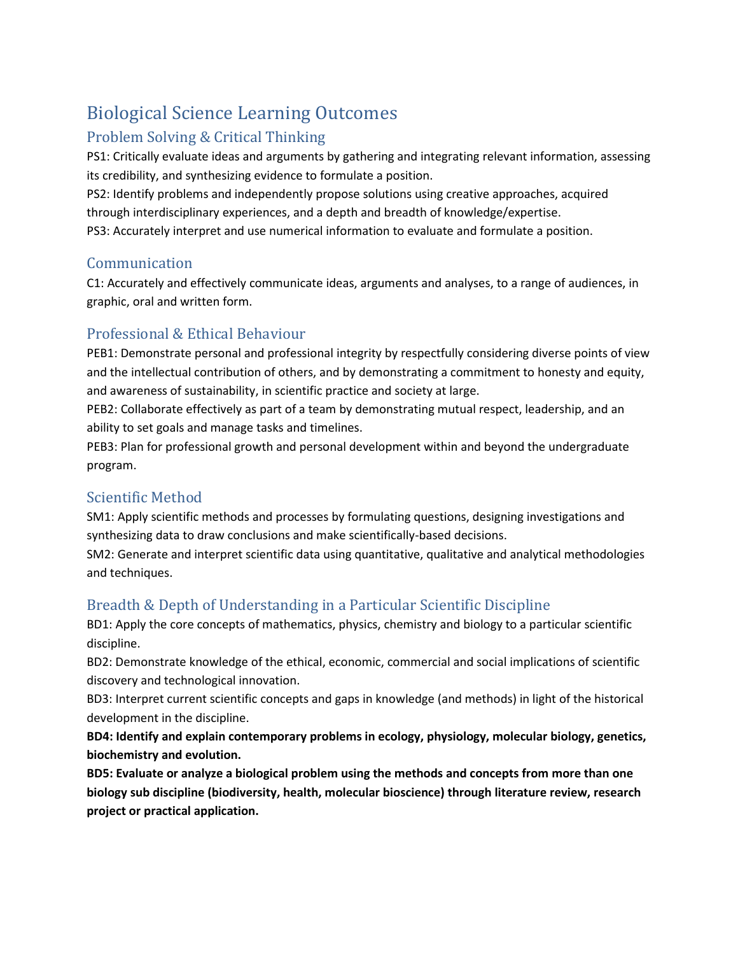# Biological Science Learning Outcomes

# Problem Solving & Critical Thinking

PS1: Critically evaluate ideas and arguments by gathering and integrating relevant information, assessing its credibility, and synthesizing evidence to formulate a position.

PS2: Identify problems and independently propose solutions using creative approaches, acquired through interdisciplinary experiences, and a depth and breadth of knowledge/expertise. PS3: Accurately interpret and use numerical information to evaluate and formulate a position.

#### Communication

C1: Accurately and effectively communicate ideas, arguments and analyses, to a range of audiences, in graphic, oral and written form.

### Professional & Ethical Behaviour

PEB1: Demonstrate personal and professional integrity by respectfully considering diverse points of view and the intellectual contribution of others, and by demonstrating a commitment to honesty and equity, and awareness of sustainability, in scientific practice and society at large.

PEB2: Collaborate effectively as part of a team by demonstrating mutual respect, leadership, and an ability to set goals and manage tasks and timelines.

PEB3: Plan for professional growth and personal development within and beyond the undergraduate program.

### Scientific Method

SM1: Apply scientific methods and processes by formulating questions, designing investigations and synthesizing data to draw conclusions and make scientifically-based decisions.

SM2: Generate and interpret scientific data using quantitative, qualitative and analytical methodologies and techniques.

### Breadth & Depth of Understanding in a Particular Scientific Discipline

BD1: Apply the core concepts of mathematics, physics, chemistry and biology to a particular scientific discipline.

BD2: Demonstrate knowledge of the ethical, economic, commercial and social implications of scientific discovery and technological innovation.

BD3: Interpret current scientific concepts and gaps in knowledge (and methods) in light of the historical development in the discipline.

**BD4: Identify and explain contemporary problems in ecology, physiology, molecular biology, genetics, biochemistry and evolution.** 

**BD5: Evaluate or analyze a biological problem using the methods and concepts from more than one biology sub discipline (biodiversity, health, molecular bioscience) through literature review, research project or practical application.**